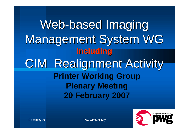# Web-based Imaging Management System WG **Including** CIM Realignment Activity **Printer Working Group Plenary Meeting 20 February 2007**



19 February 2007 **PWG WIMS Activity**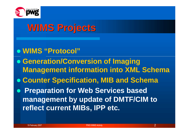

## **WIMS Projects**

- **WIMS "Protocol"**
- **Generation/Conversion of Imaging Management information into XML Schema**
- **Counter Specification, MIB and Schema**
- **Preparation for Web Services based management by update of DMTF/CIM to reflect current MIBs, IPP etc.**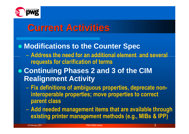

## **Current Activities**

#### **Modifications to the Counter Spec**

- **Address the need for an additional element and several requests for clarification of terms**
- **Continuing Phases 2 and 3 of the CIM Realignment Activity**
	- **Fix definitions of ambiguous properties, deprecate noninteroperable properties; move properties to correct parent class**
	- **Add needed management items that are available through existing printer management methods (e.g., MIBs & IPP)**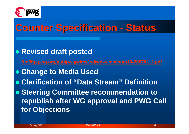

## **Counter Specification - Status**

**Revised draft posted**

**ftp://ftp.pwg.org/pub/pwg/wims/wd/wd-wimscount10-20070212.pdf**

- **Change to Media Used**
- **Clarification of "Data Stream" Definition**
- **Steering Committee recommendation to republish after WG approval and PWG Call for Objections**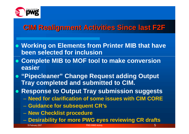

### **CIM Realignment Activities Since last F2F**

- **Working on Elements from Printer MIB that have been selected for inclusion**
- **Complete MIB to MOF tool to make conversion easier**
- **"Pipecleaner" Change Request adding Output Tray completed and submitted to CIM.**
- **Response to Output Tray submission suggests**
	- **Need for clarification of some issues with CIM CORE**
	- **Guidance for subsequent CR's**
	- **New Checklist procedure**
	- **Desirability for more PWG eyes reviewing CR drafts**

19 February 2007 PWG WIMS Activity 5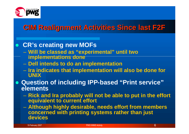

### **CIM Realignment Activities Since last F2F**

#### **CR's creating new MOFs**

- **Will be classed as "experimental" until two implementations done**
- **Dell intends to do an implementation**
- **Ira indicates that implementation will also be done for UNIX**
- **Question of including IPP-based "Print service" elements**
	- **Rick and Ira probably will not be able to put in the effort equivalent to current effort**
	- **Although highly desirable, needs effort from members concerned with printing systems rather than just devices**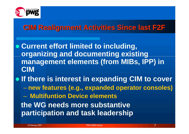

#### **CIM Realignment Activities Since last F2F**

- **Current effort limited to including, organizing and documenting existing management elements (from MIBs, IPP) in CIM**
- **If there is interest in expanding CIM to cover** – **new features (e.g., expanded operator consoles)** – **Multifuntion Device elements the WG needs more substantive participation and task leadership**